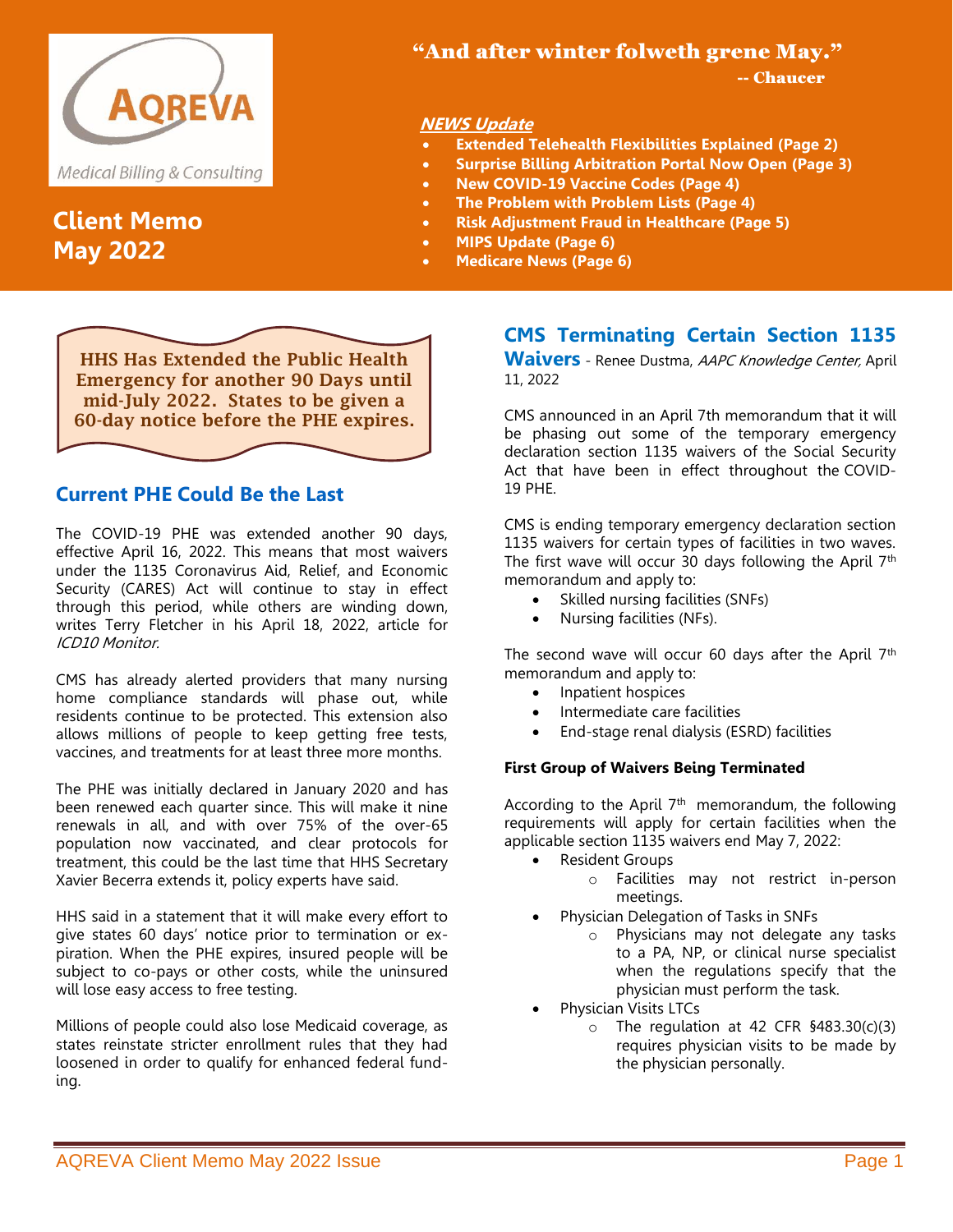

# **Client Memo May 2022**

## "And after winter folweth grene May."

-- Chaucer

### **NEWS Update**

- **Extended Telehealth Flexibilities Explained (Page 2)**
- **Surprise Billing Arbitration Portal Now Open (Page 3)**
- **New COVID-19 Vaccine Codes (Page 4)**
- **The Problem with Problem Lists (Page 4)**
- **Risk Adjustment Fraud in Healthcare (Page 5)**
- **MIPS Update (Page 6)**
- **Medicare News (Page 6)**

HHS Has Extended the Public Health Emergency for another 90 Days until mid-July 2022. States to be given a 60-day notice before the PHE expires.

## **[Current PHE Could Be the Last](https://icd10monitor.com/current-phe-could-be-the-last-heres-why/)**

The COVID-19 PHE was extended another 90 days, effective April 16, 2022. This means that most waivers under the 1135 Coronavirus Aid, Relief, and Economic Security (CARES) Act will continue to stay in effect through this period, while others are winding down, writes Terry Fletcher in his April 18, 2022, article for ICD10 Monitor.

CMS has already alerted providers that many nursing home compliance standards will phase out, while residents continue to be protected. This extension also allows millions of people to keep getting free tests, vaccines, and treatments for at least three more months.

The PHE was initially declared in January 2020 and has been renewed each quarter since. This will make it nine renewals in all, and with over 75% of the over-65 population now vaccinated, and clear protocols for treatment, this could be the last time that HHS Secretary Xavier Becerra extends it, policy experts have said.

HHS said in a statement that it will make every effort to give states 60 days' notice prior to termination or expiration. When the PHE expires, insured people will be subject to co-pays or other costs, while the uninsured will lose easy access to free testing.

Millions of people could also lose Medicaid coverage, as states reinstate stricter enrollment rules that they had loosened in order to qualify for enhanced federal funding.

# **CMS Terminating Certain Section 1135**

**Waivers** - Renee Dustma, AAPC Knowledge Center, April 11, 2022

CMS announced in an April 7th memorandum that it will be phasing out some of the temporary emergency declaration section 1135 waivers of the Social Security Act that have been in effect throughout the [COVID-](https://www.aapc.com/covid-19/)[19](https://www.aapc.com/covid-19/) PHE.

CMS is ending temporary emergency declaration section 1135 waivers for certain types of facilities in two waves. The first wave will occur 30 days following the April 7<sup>th</sup> memorandum and apply to:

- Skilled nursing facilities (SNFs)
- Nursing facilities (NFs).

The second wave will occur 60 days after the April  $7<sup>th</sup>$ memorandum and apply to:

- Inpatient hospices
- Intermediate care facilities
- End-stage renal dialysis (ESRD) facilities

#### **First Group of Waivers Being Terminated**

According to the April  $7<sup>th</sup>$  [memorandum,](https://www.cms.gov/files/document/qso-22-15-nh-nltc-lsc.pdf) the following requirements will apply for certain facilities when the applicable section 1135 waivers end May 7, 2022:

- Resident Groups
	- o Facilities may not restrict in-person meetings.
	- Physician Delegation of Tasks in SNFs
		- o Physicians may not delegate any tasks to a PA, NP, or clinical nurse specialist when the regulations specify that the physician must perform the task.
- Physician Visits LTCs
	- $\circ$  The regulation at 42 CFR  $$483.30(c)(3)$ requires physician visits to be made by the physician personally.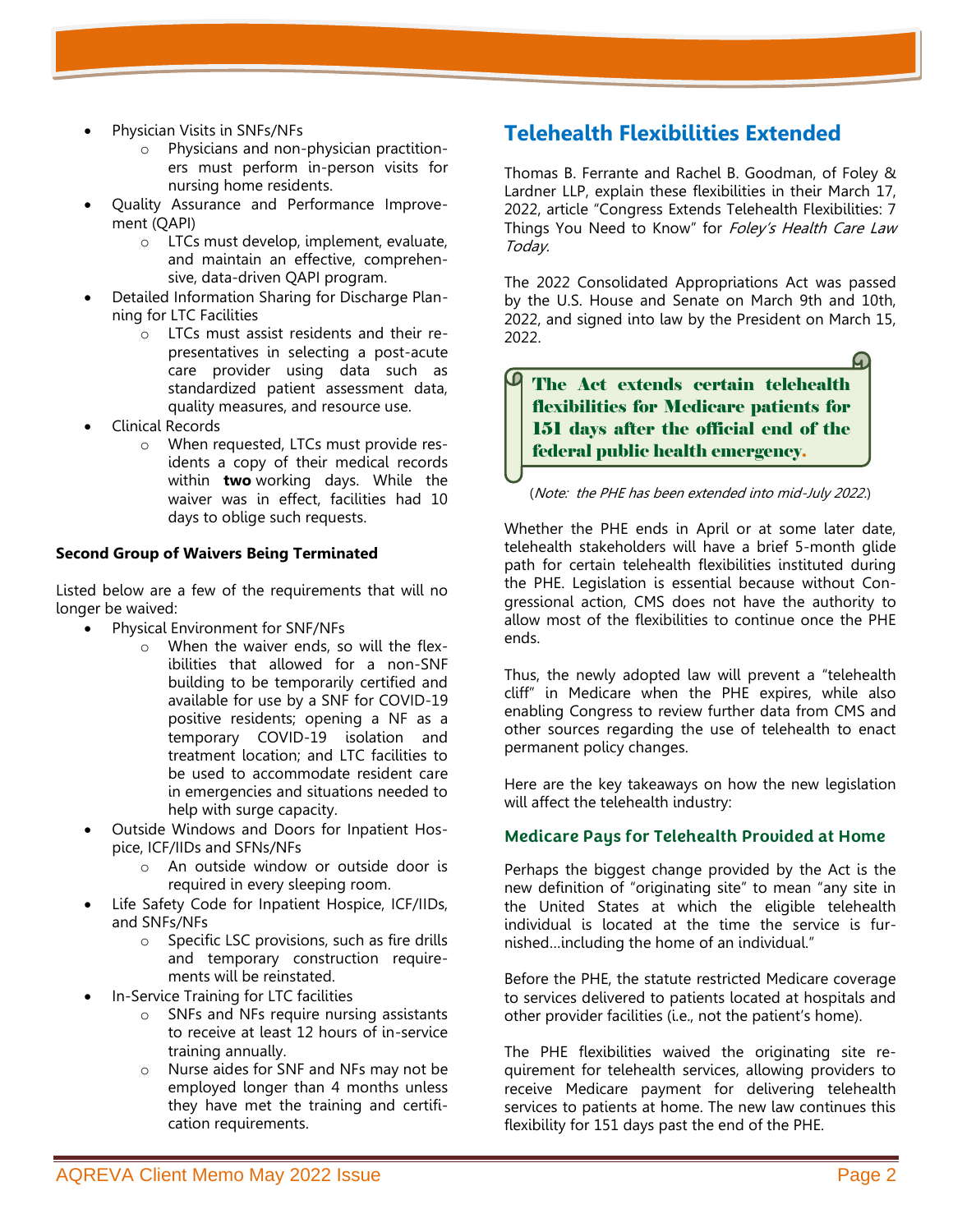- Physician Visits in SNFs/NFs
	- o Physicians and non-physician practitioners must perform in-person visits for nursing home residents.
- Quality Assurance and Performance Improvement (QAPI)
	- o LTCs must develop, implement, evaluate, and maintain an effective, comprehensive, data-driven QAPI program.
- Detailed Information Sharing for Discharge Planning for LTC Facilities
	- o LTCs must assist residents and their representatives in selecting a post-acute care provider using data such as standardized patient assessment data, quality measures, and resource use.
- Clinical Records
	- o When requested, LTCs must provide residents a copy of their medical records within **two** working days. While the waiver was in effect, facilities had 10 days to oblige such requests.

#### **Second Group of Waivers Being Terminated**

Listed below are a few of the requirements that will no longer be waived:

- Physical Environment for SNF/NFs
	- o When the waiver ends, so will the flexibilities that allowed for a non-SNF building to be temporarily certified and available for use by a SNF for COVID-19 positive residents; opening a NF as a temporary COVID-19 isolation and treatment location; and LTC facilities to be used to accommodate resident care in emergencies and situations needed to help with surge capacity.
- Outside Windows and Doors for Inpatient Hospice, ICF/IIDs and SFNs/NFs
	- o An outside window or outside door is required in every sleeping room.
- Life Safety Code for Inpatient Hospice, ICF/IIDs, and SNFs/NFs
	- o Specific LSC provisions, such as fire drills and temporary construction requirements will be reinstated.
- In-Service Training for LTC facilities
	- o SNFs and NFs require nursing assistants to receive at least 12 hours of in-service training annually.
	- o Nurse aides for SNF and NFs may not be employed longer than 4 months unless they have met the training and certification requirements.

# **Telehealth Flexibilities Extended**

Thomas B. Ferrante and Rachel B. Goodman, of Foley & Lardner LLP, explain these flexibilities in their March 17, 2022, article "Congress Extends Telehealth Flexibilities: 7 Things You Need to Know" for Foley's Health Care Law Today.

The 2022 Consolidated Appropriations Act was passed by the U.S. House and Senate on March 9th and 10th, 2022, and signed into law by the President on March 15, 2022.

The Act extends certain telehealth flexibilities for Medicare patients for 151 days after the official end of the federal public health emergency.

#### (Note: the PHE has been extended into mid-July 2022.)

Whether the PHE ends in April or at some later date, telehealth stakeholders will have a brief 5-month glide path for certain telehealth flexibilities instituted during the PHE. Legislation is essential because without Congressional action, CMS does not have the authority to allow most of the flexibilities to continue once the PHE ends.

Thus, the newly adopted law will prevent a "telehealth cliff" in Medicare when the PHE expires, while also enabling Congress to review further data from CMS and other sources regarding the use of telehealth to enact permanent policy changes.

Here are the key takeaways on how the new legislation will affect the telehealth industry:

#### **Medicare Pays for Telehealth Provided at Home**

Perhaps the biggest change provided by the Act is the new definition of "originating site" to mean "any site in the United States at which the eligible telehealth individual is located at the time the service is furnished…including the home of an individual."

Before the PHE, the statute restricted Medicare coverage to services delivered to patients located at hospitals and other provider facilities (i.e., not the patient's home).

The PHE flexibilities waived the originating site requirement for telehealth services, allowing providers to receive Medicare payment for delivering telehealth services to patients at home. The new law continues this flexibility for 151 days past the end of the PHE.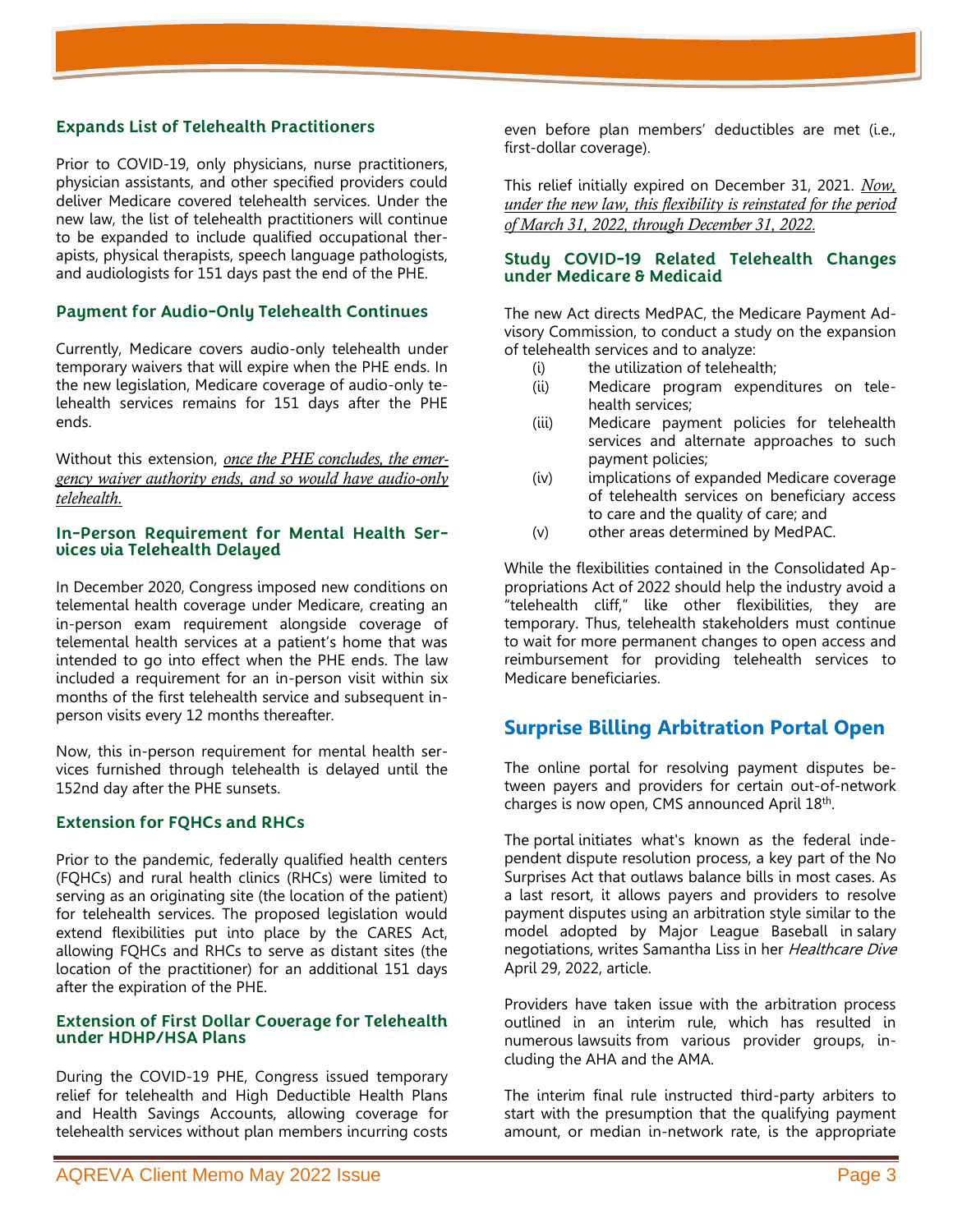#### **Expands List of Telehealth Practitioners**

Prior to COVID-19, only physicians, nurse practitioners, physician assistants, and other specified providers could deliver Medicare covered telehealth services. Under the new law, the list of telehealth practitioners will continue to be expanded to include qualified occupational therapists, physical therapists, speech language pathologists, and audiologists for 151 days past the end of the PHE.

#### **Payment for Audio-Only Telehealth Continues**

Currently, Medicare covers audio-only telehealth under temporary waivers that will expire when the PHE ends. In the new legislation, Medicare coverage of audio-only telehealth services remains for 151 days after the PHE ends.

Without this extension, *once the PHE concludes, the emergency waiver authority ends, and so would have audio-only telehealth.*

#### **In-Person Requirement for Mental Health Services via Telehealth Delayed**

In December 2020, Congress imposed new conditions on telemental health coverage under Medicare, creating an in-person exam requirement alongside coverage of telemental health services at a patient's home that was intended to go into effect when the PHE ends. The law included a requirement for an in-person visit within six months of the first telehealth service and subsequent inperson visits every 12 months thereafter.

Now, this in-person requirement for mental health services furnished through telehealth is delayed until the 152nd day after the PHE sunsets.

#### **Extension for FQHCs and RHCs**

Prior to the pandemic, federally qualified health centers (FQHCs) and rural health clinics (RHCs) were limited to serving as an originating site (the location of the patient) for telehealth services. The proposed legislation would extend flexibilities put into place by the CARES Act, allowing FQHCs and RHCs to serve as distant sites (the location of the practitioner) for an additional 151 days after the expiration of the PHE.

#### **Extension of First Dollar Coverage for Telehealth under HDHP/HSA Plans**

During the COVID-19 PHE, Congress issued temporary relief for telehealth and High Deductible Health Plans and Health Savings Accounts, allowing coverage for telehealth services without plan members incurring costs

even before plan members' deductibles are met (i.e., first-dollar coverage).

This relief initially expired on December 31, 2021. *Now, under the new law, this flexibility is reinstated for the period of March 31, 2022, through December 31, 2022*.

#### **Study COVID-19 Related Telehealth Changes under Medicare & Medicaid**

The new Act directs MedPAC, the Medicare Payment Advisory Commission, to conduct a study on the expansion of telehealth services and to analyze:

- (i) the utilization of telehealth;
- (ii) Medicare program expenditures on telehealth services;
- (iii) Medicare payment policies for telehealth services and alternate approaches to such payment policies;
- (iv) implications of expanded Medicare coverage of telehealth services on beneficiary access to care and the quality of care; and
- (v) other areas determined by MedPAC.

While the flexibilities contained in the Consolidated Appropriations Act of 2022 should help the industry avoid a "telehealth cliff," like other flexibilities, they are temporary. Thus, telehealth stakeholders must continue to wait for more permanent changes to open access and reimbursement for providing telehealth services to Medicare beneficiaries.

## **Surprise Billing Arbitration Portal Open**

The online portal for resolving payment disputes between payers and providers for certain out-of-network charges is now open, CMS announced April 18th .

The [portal](https://nsa-idr.cms.gov/paymentdisputes/s/) initiates what's known as the federal independent dispute resolution process, a key part of the No Surprises Act that outlaws balance bills in most cases. As a last resort, it allows payers and providers to resolve payment disputes using an arbitration style similar to the model adopted by Major League Baseball in salary negotiations, writes Samantha Liss in her Healthcare Dive April 29, 2022, article.

Providers have taken issue with the arbitration process outlined in an interim rule, which has resulted in numerous [lawsuits](https://www.healthcaredive.com/news/hospitals-sue-over-surprise-billing-ban-why/617543/) from various provider groups, including the AHA and the AMA.

The interim final rule instructed third-party arbiters to start with the presumption that the qualifying payment amount, or median in-network rate, is the appropriate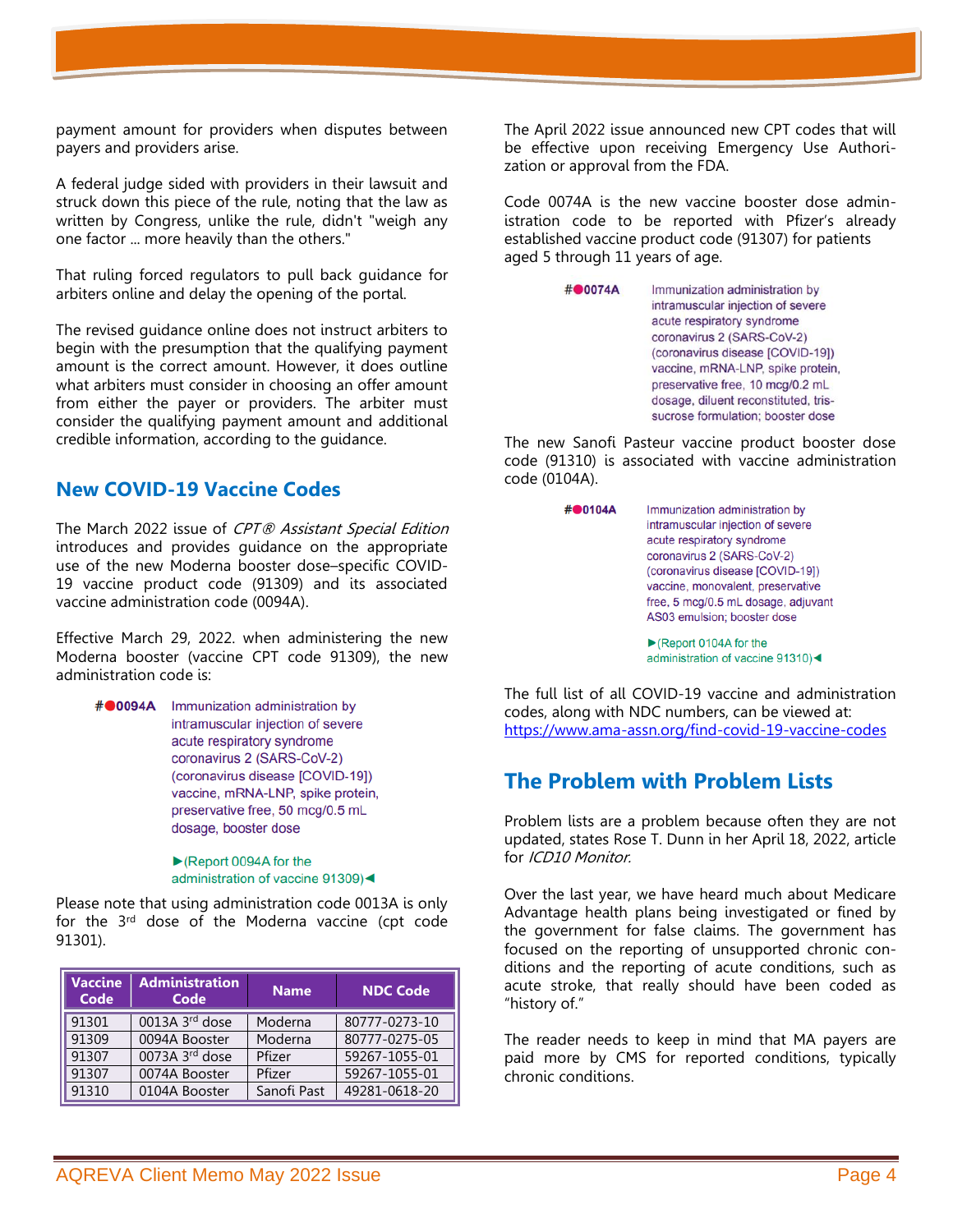payment amount for providers when disputes between payers and providers arise.

A federal judge sided with providers in their lawsuit and struck down this piece of the rule, noting that the law as written by Congress, unlike the rule, didn't "weigh any one factor ... more heavily than the others."

That ruling forced regulators to pull back guidance for arbiters online and delay the opening of the portal.

The revised guidance online does not instruct arbiters to begin with the presumption that the qualifying payment amount is the correct amount. However, it does outline what arbiters must consider in choosing an offer amount from either the payer or providers. The arbiter must consider the qualifying payment amount and additional credible information, according to the guidance.

### **New COVID-19 Vaccine Codes**

The March 2022 issue of CPT® Assistant Special Edition introduces and provides guidance on the appropriate use of the new Moderna booster dose–specific COVID-19 vaccine product code (91309) and its associated vaccine administration code (0094A).

Effective March 29, 2022. when administering the new Moderna booster (vaccine CPT code 91309), the new administration code is:

#00094A Immunization administration by intramuscular injection of severe acute respiratory syndrome coronavirus 2 (SARS-CoV-2) (coronavirus disease [COVID-19]) vaccine, mRNA-LNP, spike protein, preservative free, 50 mcg/0.5 mL dosage, booster dose

> $\blacktriangleright$  (Report 0094A for the administration of vaccine 91309)<

Please note that using administration code 0013A is only for the 3<sup>rd</sup> dose of the Moderna vaccine (cpt code 91301).

| Vaccine<br>Code | <b>Administration</b><br>Code | <b>Name</b> | <b>NDC Code</b> |
|-----------------|-------------------------------|-------------|-----------------|
| 91301           | $0013A$ 3 <sup>rd</sup> dose  | Moderna     | 80777-0273-10   |
| 91309           | 0094A Booster                 | Moderna     | 80777-0275-05   |
| 91307           | $0073A$ 3 <sup>rd</sup> dose  | Pfizer      | 59267-1055-01   |
| 91307           | 0074A Booster                 | Pfizer      | 59267-1055-01   |
| 91310           | 0104A Booster                 | Sanofi Past | 49281-0618-20   |

The April 2022 issue announced new CPT codes that will be effective upon receiving Emergency Use Authorization or approval from the FDA.

Code 0074A is the new vaccine booster dose administration code to be reported with Pfizer's already established vaccine product code (91307) for patients aged 5 through 11 years of age.

> #00074A Immunization administration by intramuscular injection of severe acute respiratory syndrome coronavirus 2 (SARS-CoV-2) (coronavirus disease [COVID-19]) vaccine, mRNA-LNP, spike protein, preservative free, 10 mcg/0.2 mL dosage, diluent reconstituted, trissucrose formulation; booster dose

The new Sanofi Pasteur vaccine product booster dose code (91310) is associated with vaccine administration code (0104A).

> #●0104A Immunization administration by intramuscular injection of severe acute respiratory syndrome coronavirus 2 (SARS-CoV-2) (coronavirus disease [COVID-19]) vaccine, monovalent, preservative free, 5 mcg/0.5 mL dosage, adjuvant AS03 emulsion; booster dose

> > $\blacktriangleright$  (Report 0104A for the administration of vaccine 91310)<

The full list of all COVID-19 vaccine and administration codes, along with NDC numbers, can be viewed at: <https://www.ama-assn.org/find-covid-19-vaccine-codes>

# **[The Problem with Problem Lists](https://icd10monitor.com/the-problem-with-problem-lists/)**

Problem lists are a problem because often they are not updated, states Rose T. Dunn in her April 18, 2022, article for *ICD10 Monitor*.

Over the last year, we have heard much about Medicare Advantage health plans being investigated or fined by the government for false claims. The government has focused on the reporting of unsupported chronic conditions and the reporting of acute conditions, such as acute stroke, that really should have been coded as "history of."

The reader needs to keep in mind that MA payers are paid more by CMS for reported conditions, typically chronic conditions.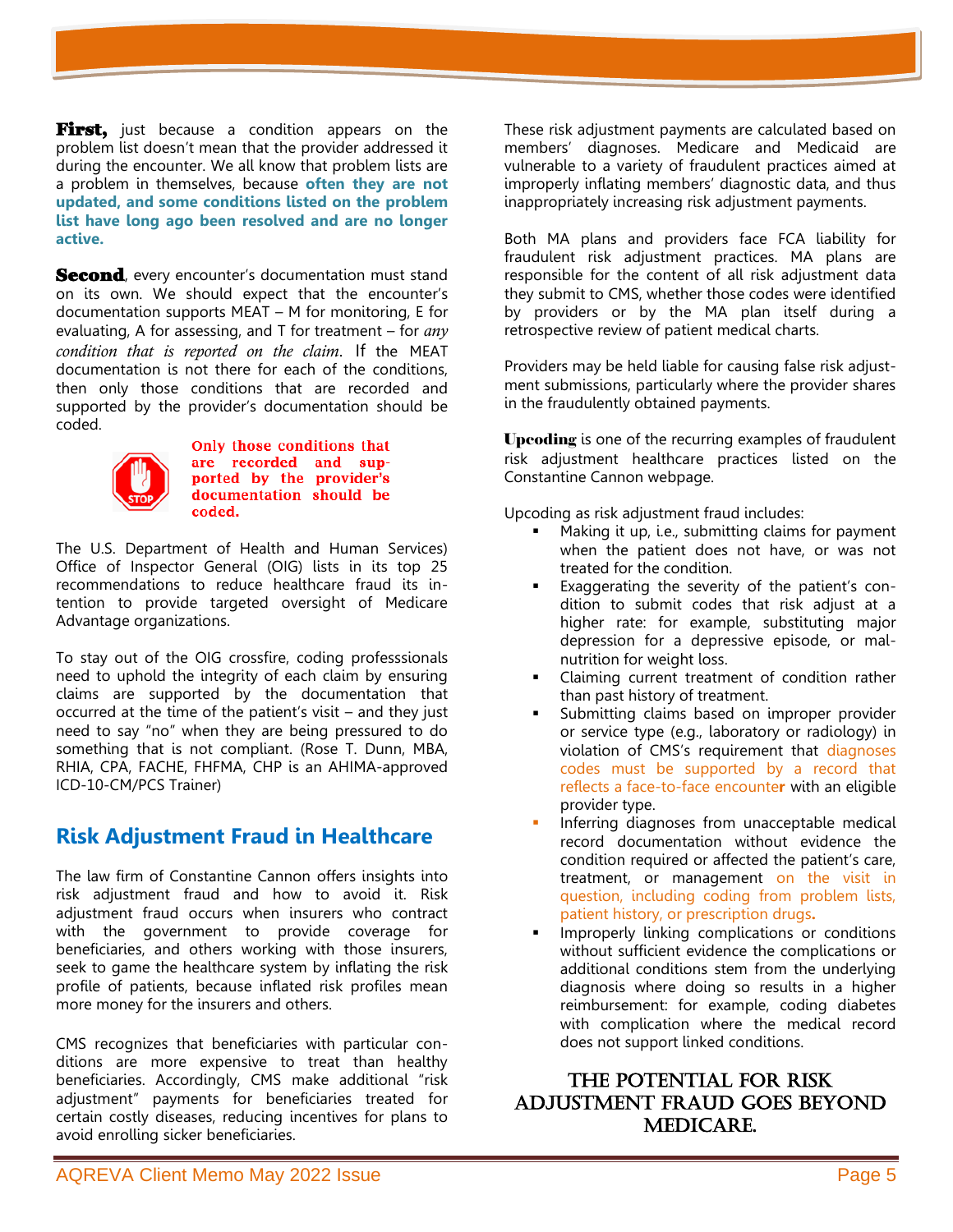First, just because a condition appears on the problem list doesn't mean that the provider addressed it during the encounter. We all know that problem lists are a problem in themselves, because **often they are not updated, and some conditions listed on the problem list have long ago been resolved and are no longer active.**

**Second**, every encounter's documentation must stand on its own. We should expect that the encounter's documentation supports MEAT – M for monitoring, E for evaluating, A for assessing, and T for treatment – for *any condition that is reported on the claim*. If the MEAT documentation is not there for each of the conditions, then only those conditions that are recorded and supported by the provider's documentation should be coded.



Only those conditions that are recorded and supported by the provider's documentation should be coded.

The U.S. Department of Health and Human Services) Office of Inspector General (OIG) lists in its top 25 recommendations to reduce healthcare fraud its intention to provide targeted oversight of Medicare Advantage organizations.

To stay out of the OIG crossfire, coding professsionals need to uphold the integrity of each claim by ensuring claims are supported by the documentation that occurred at the time of the patient's visit – and they just need to say "no" when they are being pressured to do something that is not compliant. (Rose T. Dunn, MBA, RHIA, CPA, FACHE, FHFMA, CHP is an AHIMA-approved ICD-10-CM/PCS Trainer)

## **Risk Adjustment Fraud in Healthcare**

The law firm of Constantine Cannon offers insights into risk adjustment fraud and how to avoid it. Risk adjustment fraud occurs when insurers who contract with the government to provide coverage for beneficiaries, and others working with those insurers, seek to game the healthcare system by inflating the risk profile of patients, because inflated risk profiles mean more money for the insurers and others.

CMS recognizes that beneficiaries with particular conditions are more expensive to treat than healthy beneficiaries. Accordingly, CMS make additional "risk adjustment" payments for beneficiaries treated for certain costly diseases, reducing incentives for plans to avoid enrolling sicker beneficiaries.

These risk adjustment payments are calculated based on members' diagnoses. Medicare and Medicaid are vulnerable to a variety of fraudulent practices aimed at improperly inflating members' diagnostic data, and thus inappropriately increasing risk adjustment payments.

Both MA plans and providers face FCA liability for fraudulent risk adjustment practices. MA plans are responsible for the content of all risk adjustment data they submit to CMS, whether those codes were identified by providers or by the MA plan itself during a retrospective review of patient medical charts.

[Providers](https://constantinecannon.com/practice/whistleblower/whistleblower-types/healthcare-fraud/provider-fraud/) may be held liable for causing false risk adjustment submissions, particularly where the provider shares in the fraudulently obtained payments.

Upcoding is one of the recurring examples of fraudulent risk adjustment healthcare practices listed on the Constantine Cannon webpage.

Upcoding as risk adjustment fraud includes:

- Making it up, i.e., submitting claims for payment when the patient does not have, or was not treated for the condition.
- Exaggerating the severity of the patient's condition to submit codes that risk adjust at a higher rate: for example, substituting major depression for a depressive episode, or malnutrition for weight loss.
- Claiming current treatment of condition rather than past history of treatment.
- Submitting claims based on improper provider or service type (e.g., laboratory or radiology) in violation of CMS's requirement that diagnoses codes must be supported by a record that reflects a face-to-face encounte**r** with an eligible provider type.
- Inferring diagnoses from unacceptable medical record documentation without evidence the condition required or affected the patient's care, treatment, or management on the visit in question, including coding from problem lists, patient history, or prescription drugs**.**
- Improperly linking complications or conditions without sufficient evidence the complications or additional conditions stem from the underlying diagnosis where doing so results in a higher reimbursement: for example, coding diabetes with complication where the medical record does not support linked conditions.

### The potential for risk adjustment fraud goes beyond MEDICARE.